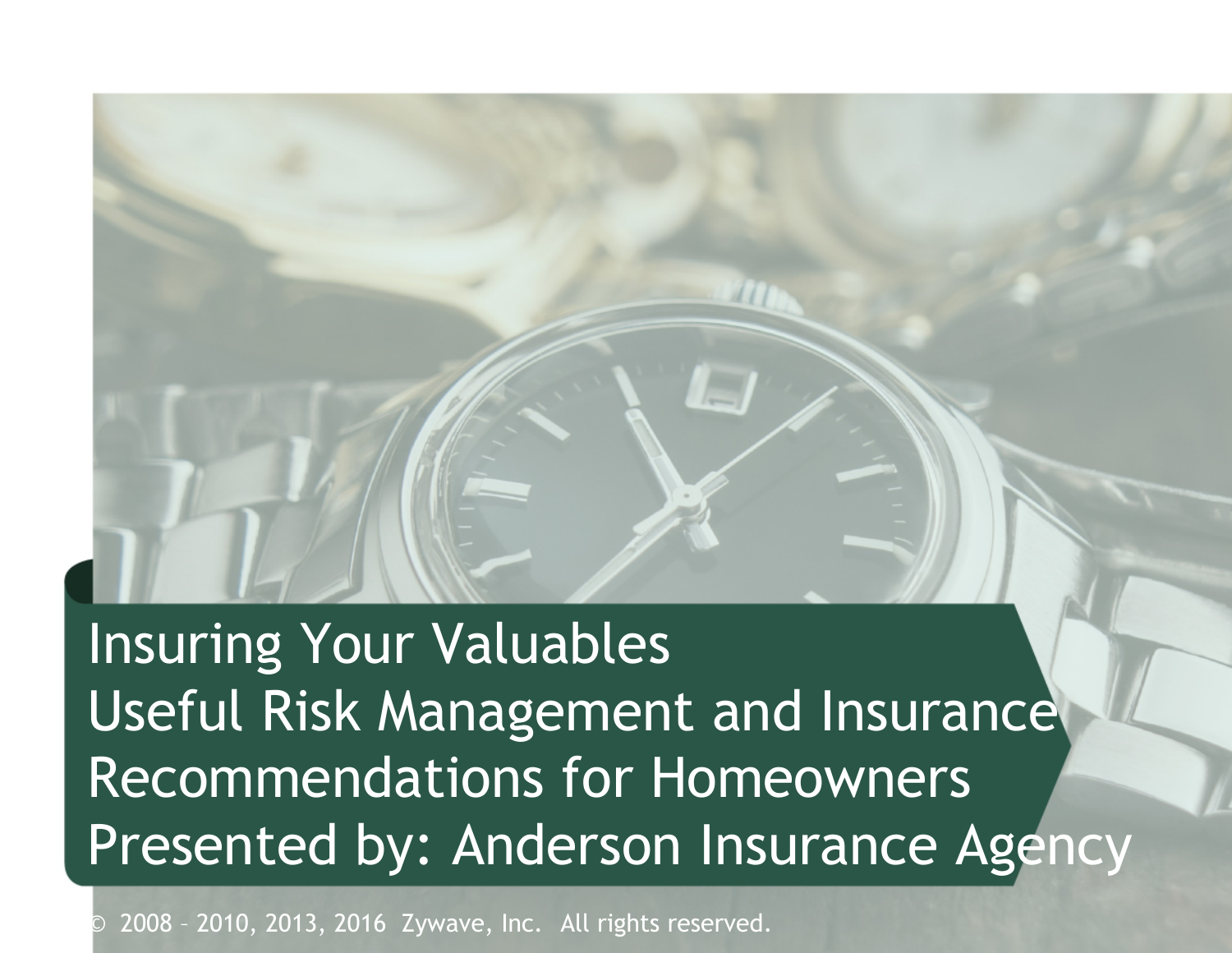Insuring Your Valuables Useful Risk Management and Insurance Recommendations for Homeowners Presented by: Anderson Insurance Agency

2008 - 2010, 2013, 2016 Zywave, Inc. All rights reserved.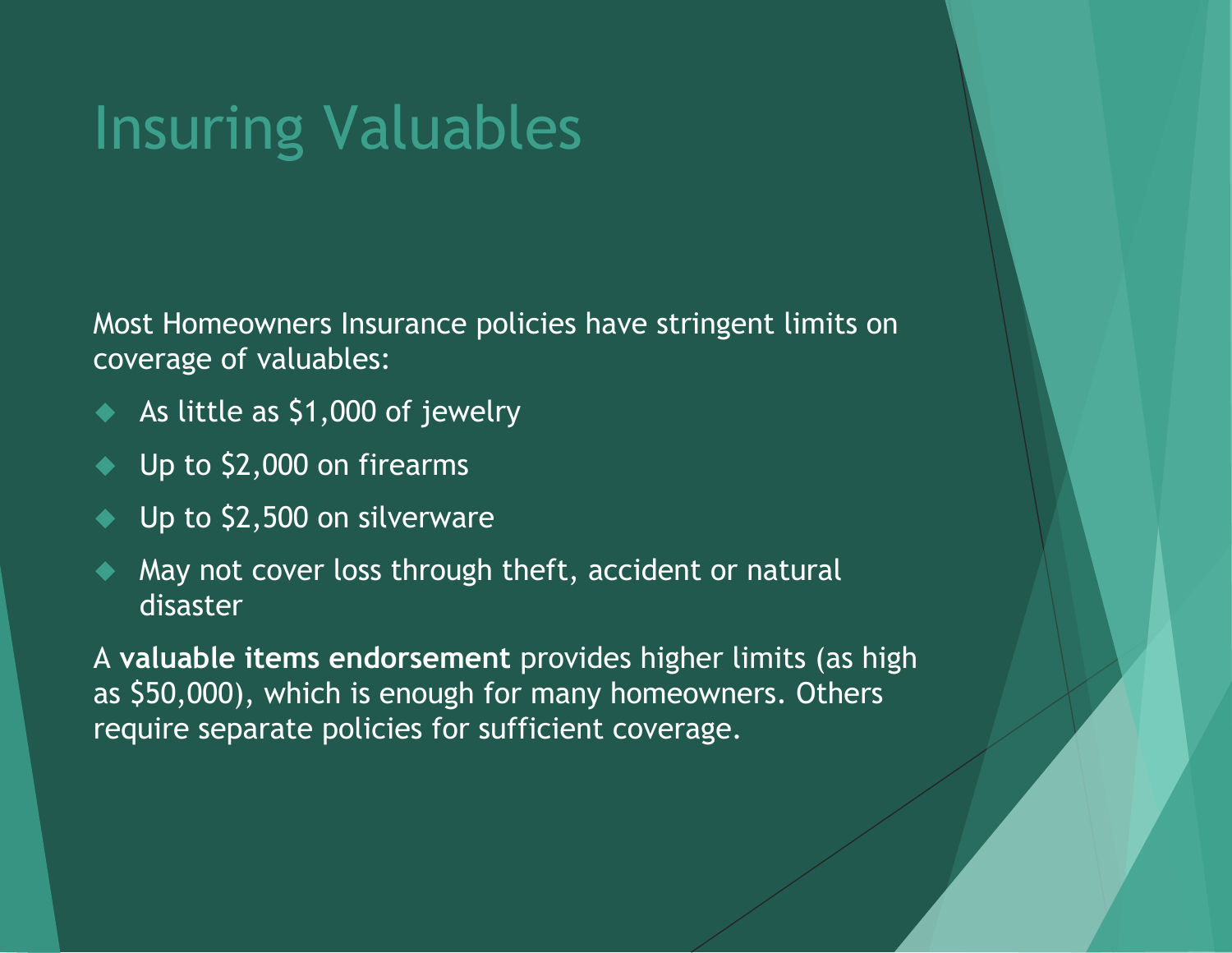## Insuring Valuables

Most Homeowners Insurance policies have stringent limits on coverage of valuables:

- As little as \$1,000 of jewelry
- Up to \$2,000 on firearms
- Up to \$2,500 on silverware
- May not cover loss through theft, accident or natural disaster

A **valuable items endorsement** provides higher limits (as high as \$50,000), which is enough for many homeowners. Others require separate policies for sufficient coverage.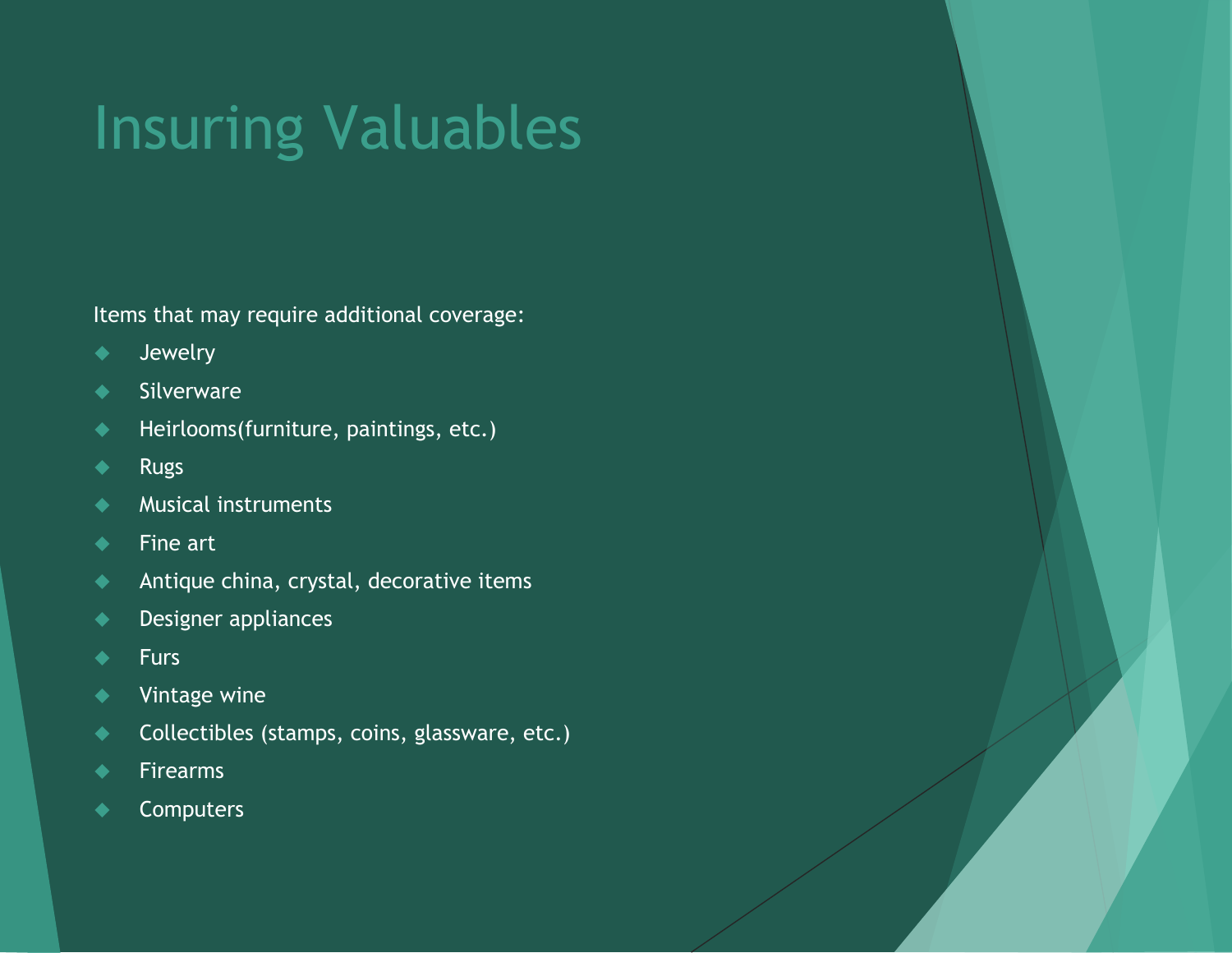# Insuring Valuables

Items that may require additional coverage:

- Jewelry
- ◆ Silverware
- Heirlooms(furniture, paintings, etc.)
- ◆ Rugs
- Musical instruments
- $\bullet$  Fine art
- ◆ Antique china, crystal, decorative items
- ◆ Designer appliances
- $\leftarrow$  Furs
- ◆ Vintage wine
- **Collectibles (stamps, coins, glassware, etc.)**
- ◆ Firearms
- **← Computers**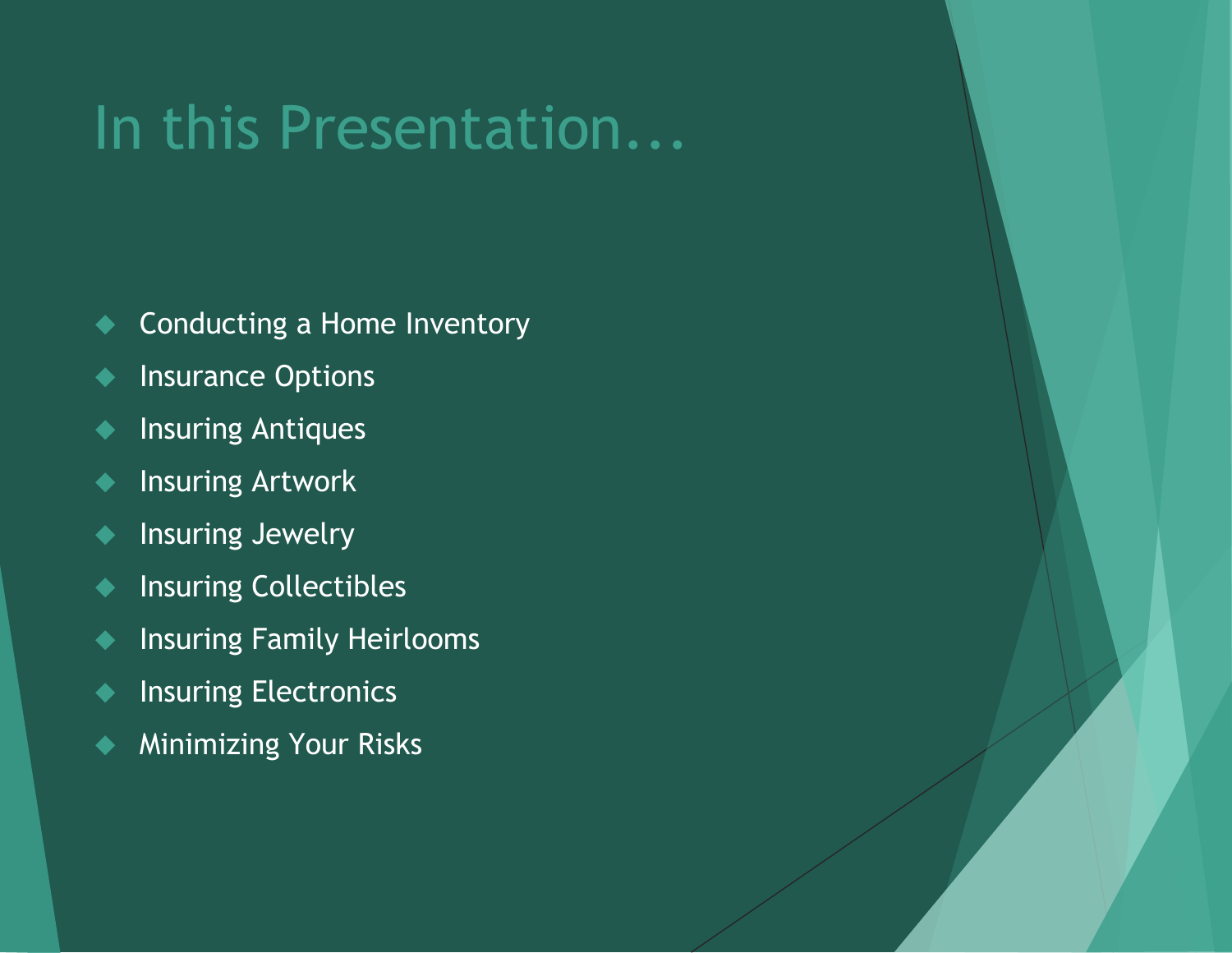#### In this Presentation...

- ◆ Conducting a Home Inventory
- **Insurance Options**
- ◆ Insuring Antiques
- ◆ Insuring Artwork
- **Insuring Jewelry**
- **Insuring Collectibles**
- **Insuring Family Heirlooms**
- **Insuring Electronics**
- ◆ Minimizing Your Risks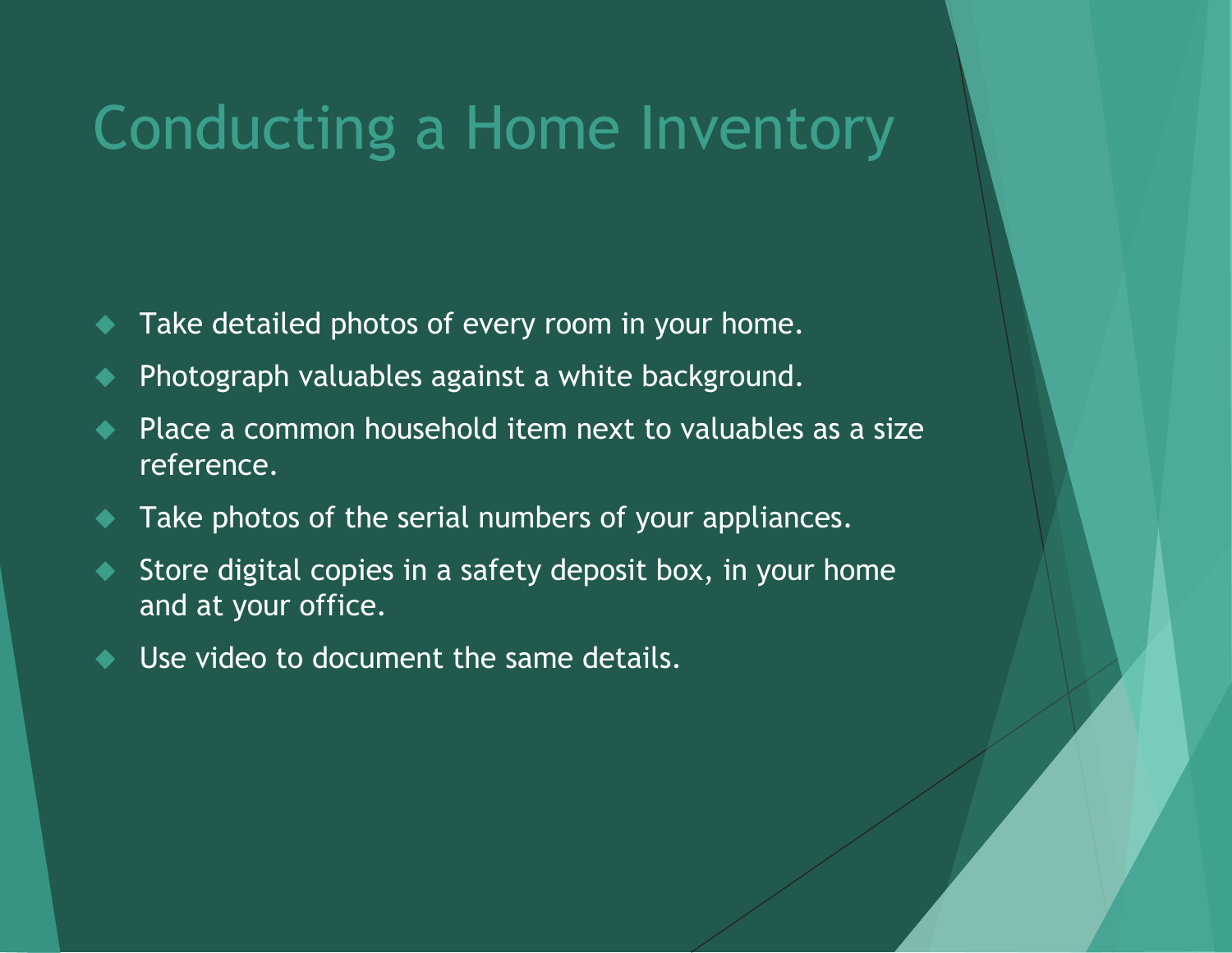#### Conducting a Home Inventory

- Take detailed photos of every room in your home.
- Photograph valuables against a white background.
- Place a common household item next to valuables as a size reference.
- Take photos of the serial numbers of your appliances.
- Store digital copies in a safety deposit box, in your home and at your office.
- Use video to document the same details.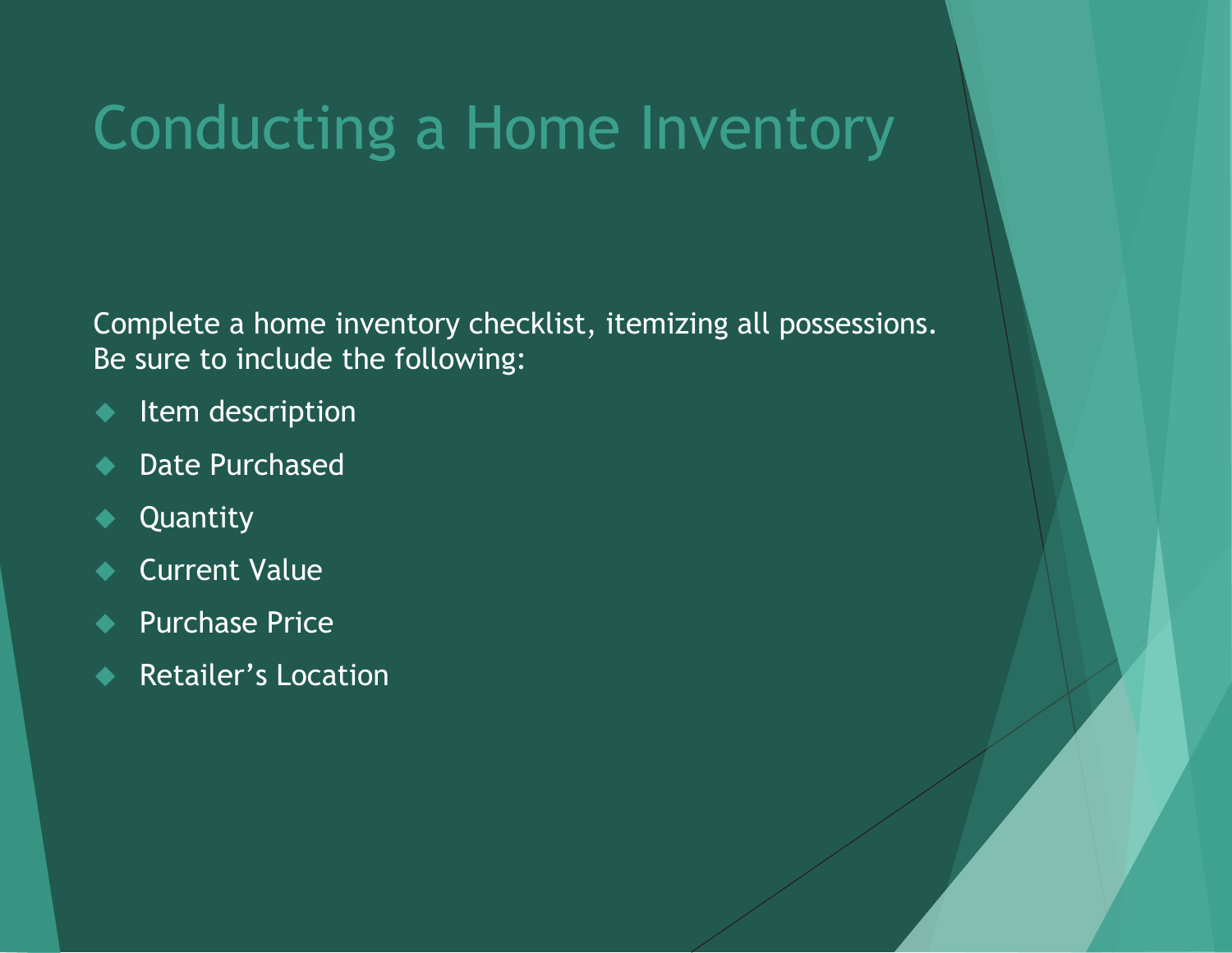## Conducting a Home Inventory

Complete a home inventory checklist, itemizing all possessions. Be sure to include the following:

- ◆ Item description
- ◆ Date Purchased
- ◆ Quantity
- Current Value
- Purchase Price
- Retailer's Location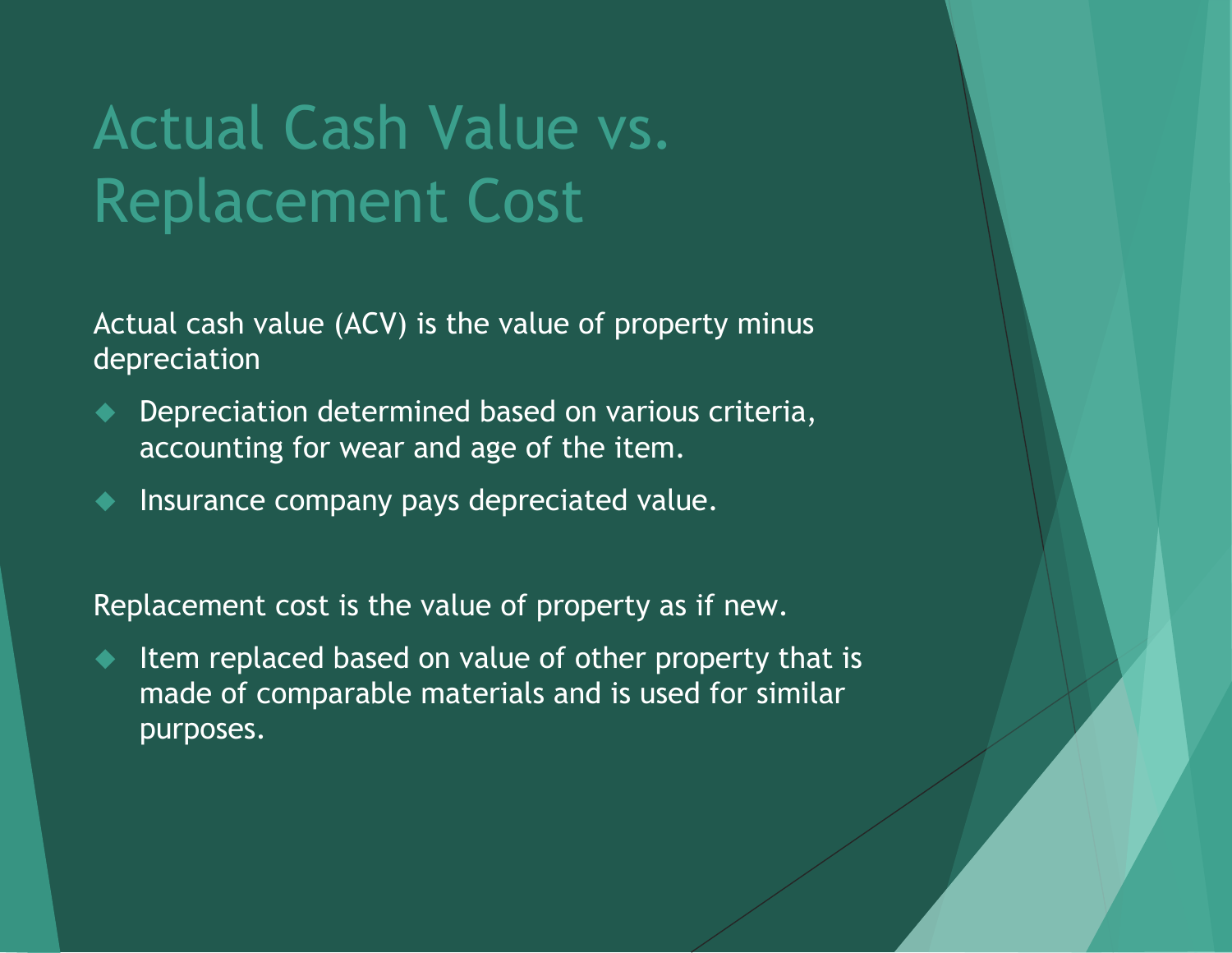## Actual Cash Value vs. Replacement Cost

Actual cash value (ACV) is the value of property minus depreciation

- Depreciation determined based on various criteria, accounting for wear and age of the item.
- Insurance company pays depreciated value.

Replacement cost is the value of property as if new.

 Item replaced based on value of other property that is made of comparable materials and is used for similar purposes.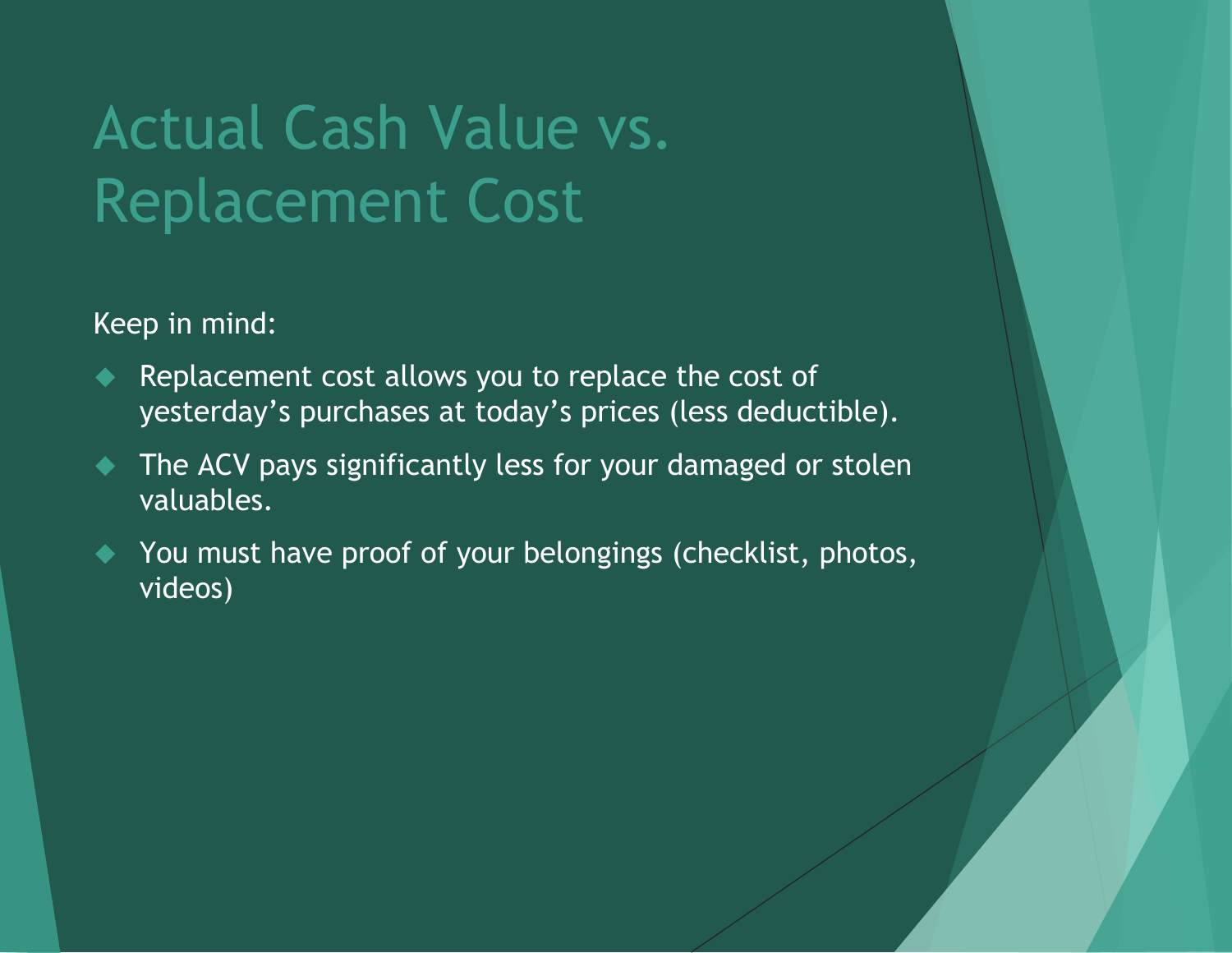## Actual Cash Value vs. Replacement Cost

Keep in mind:

- Replacement cost allows you to replace the cost of yesterday's purchases at today's prices (less deductible).
- The ACV pays significantly less for your damaged or stolen valuables.
- You must have proof of your belongings (checklist, photos, videos)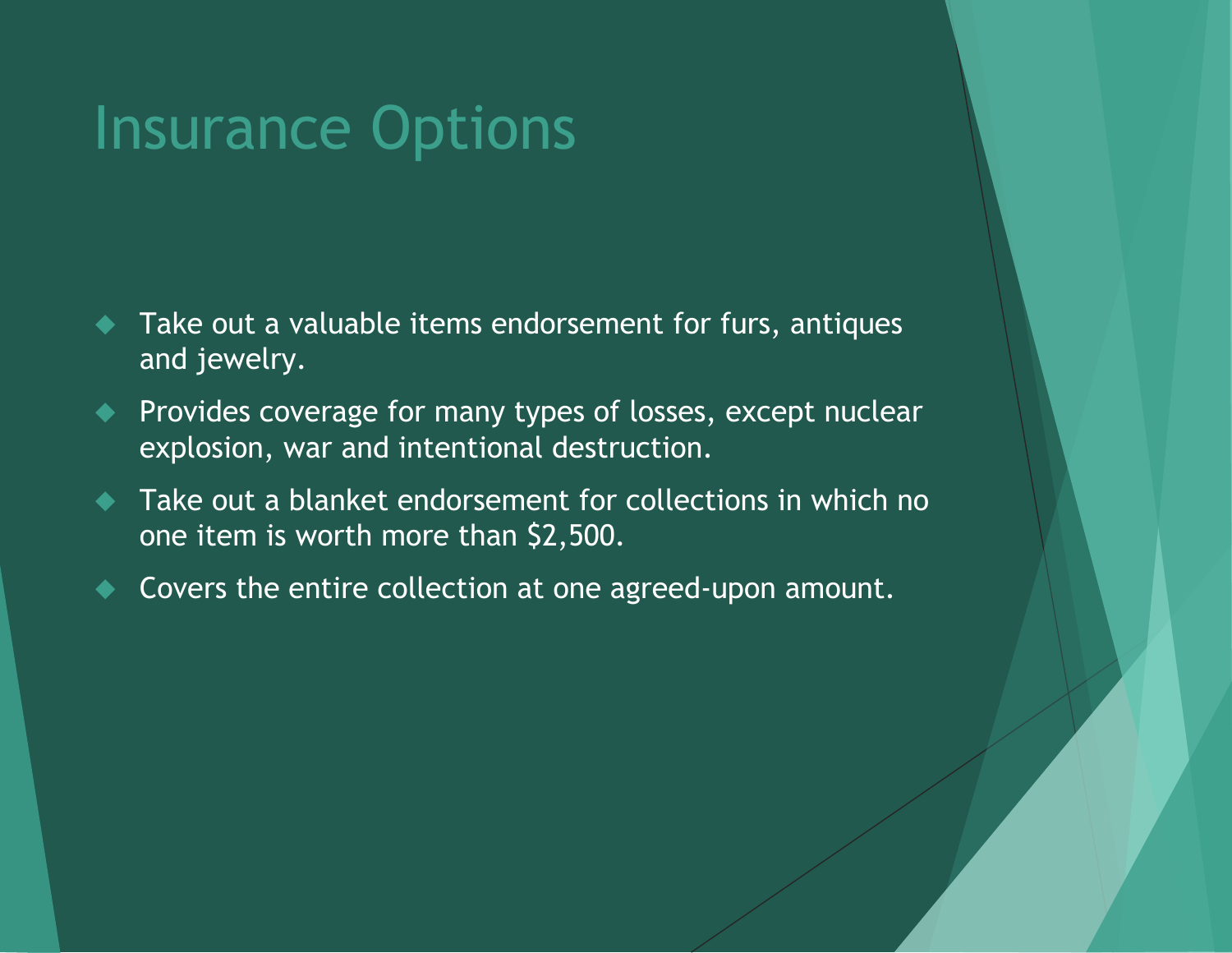- Take out a valuable items endorsement for furs, antiques and jewelry.
- **Provides coverage for many types of losses, except nuclear** explosion, war and intentional destruction.
- Take out a blanket endorsement for collections in which no one item is worth more than \$2,500.
- Covers the entire collection at one agreed-upon amount.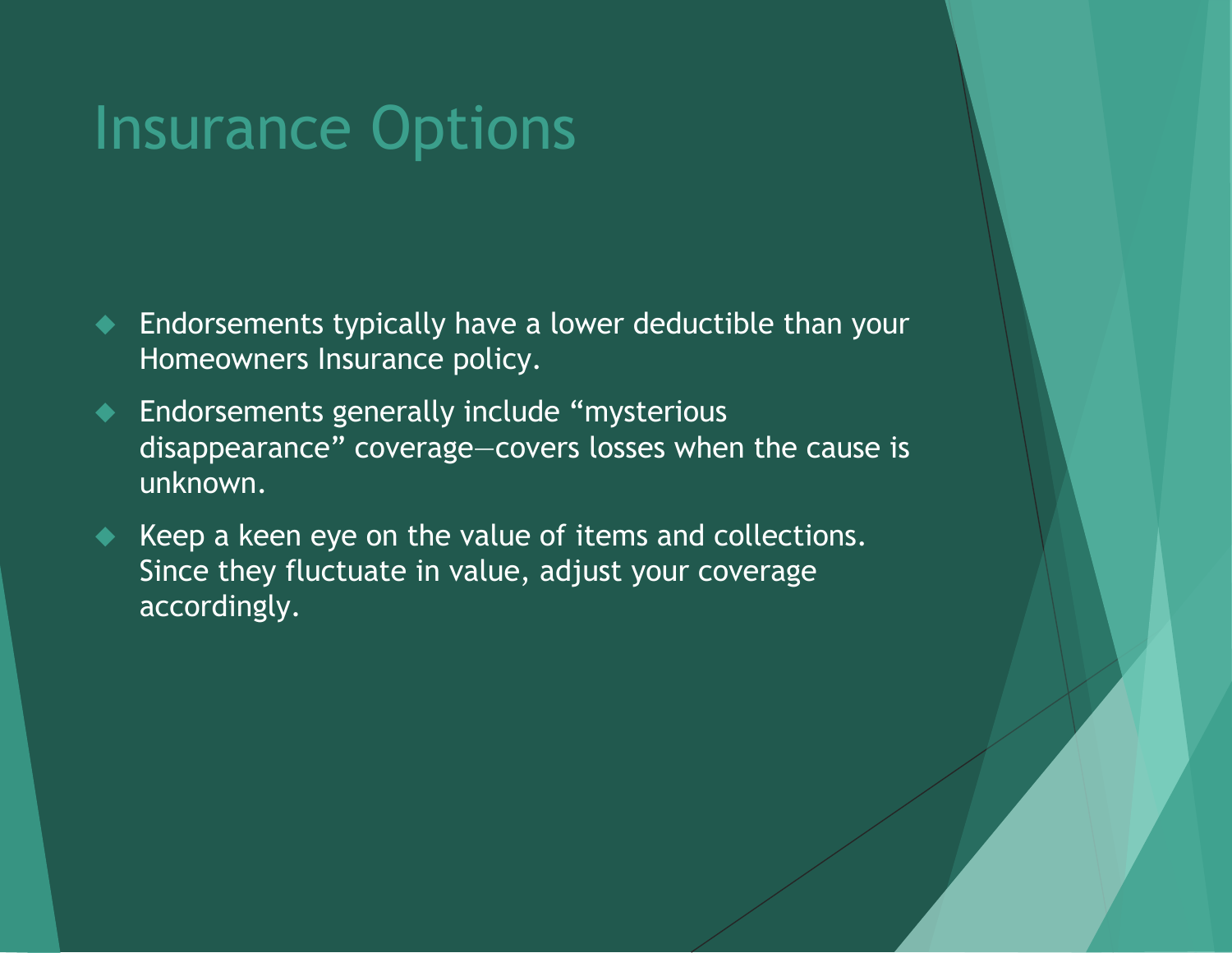- Endorsements typically have a lower deductible than your Homeowners Insurance policy.
- ◆ Endorsements generally include "mysterious disappearance" coverage—covers losses when the cause is unknown.
- Keep a keen eye on the value of items and collections. Since they fluctuate in value, adjust your coverage accordingly.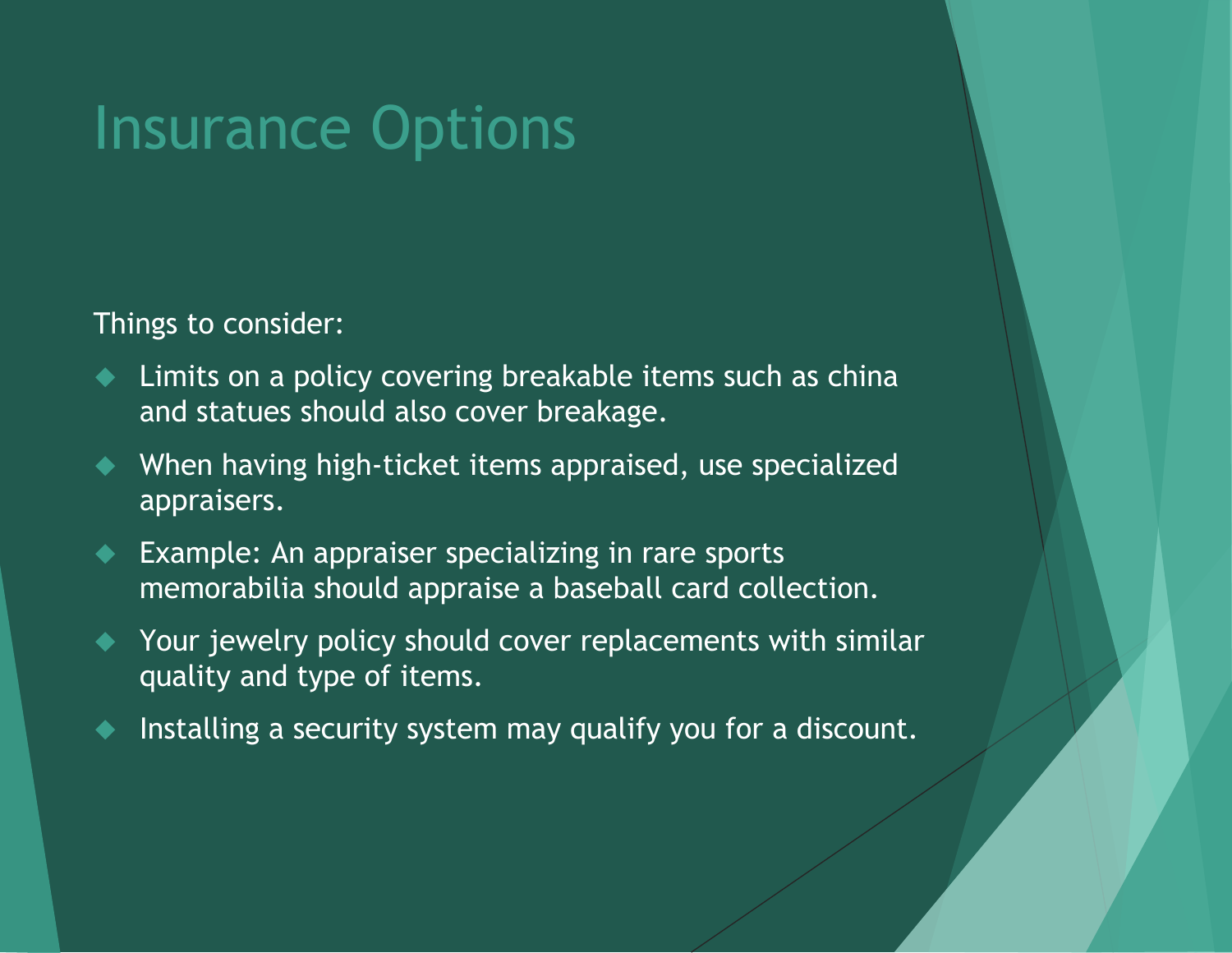Things to consider:

- ◆ Limits on a policy covering breakable items such as china and statues should also cover breakage.
- When having high-ticket items appraised, use specialized appraisers.
- ◆ Example: An appraiser specializing in rare sports memorabilia should appraise a baseball card collection.
- Your jewelry policy should cover replacements with similar quality and type of items.
- Installing a security system may qualify you for a discount.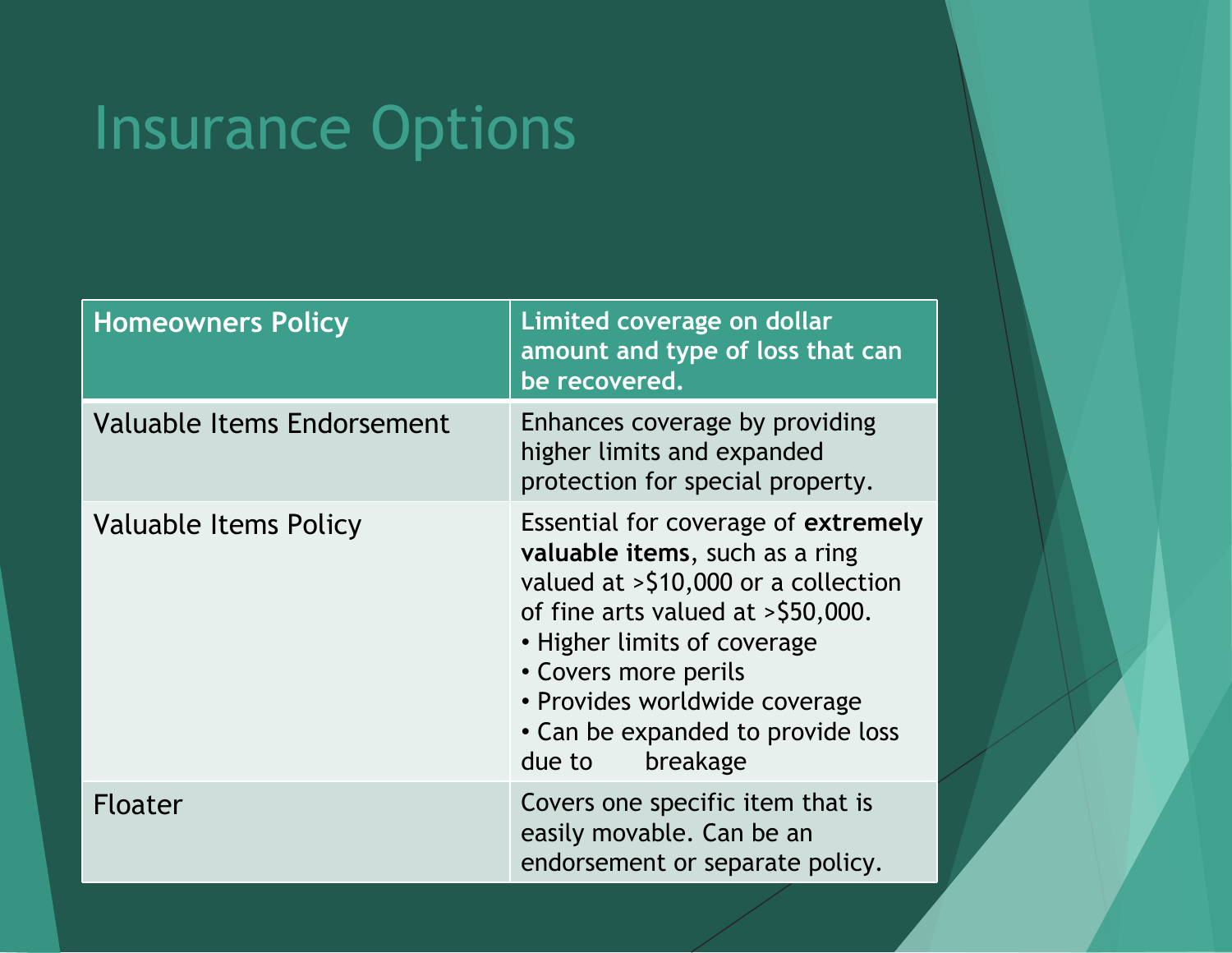| <b>Homeowners Policy</b>   | Limited coverage on dollar<br>amount and type of loss that can<br>be recovered.                                                                                                                                                                                                                            |
|----------------------------|------------------------------------------------------------------------------------------------------------------------------------------------------------------------------------------------------------------------------------------------------------------------------------------------------------|
| Valuable Items Endorsement | Enhances coverage by providing<br>higher limits and expanded<br>protection for special property.                                                                                                                                                                                                           |
| Valuable Items Policy      | Essential for coverage of extremely<br>valuable items, such as a ring<br>valued at $>$ \$10,000 or a collection<br>of fine arts valued at $>$ \$50,000.<br>• Higher limits of coverage<br>• Covers more perils<br>• Provides worldwide coverage<br>• Can be expanded to provide loss<br>breakage<br>due to |
| Floater                    | Covers one specific item that is<br>easily movable. Can be an<br>endorsement or separate policy.                                                                                                                                                                                                           |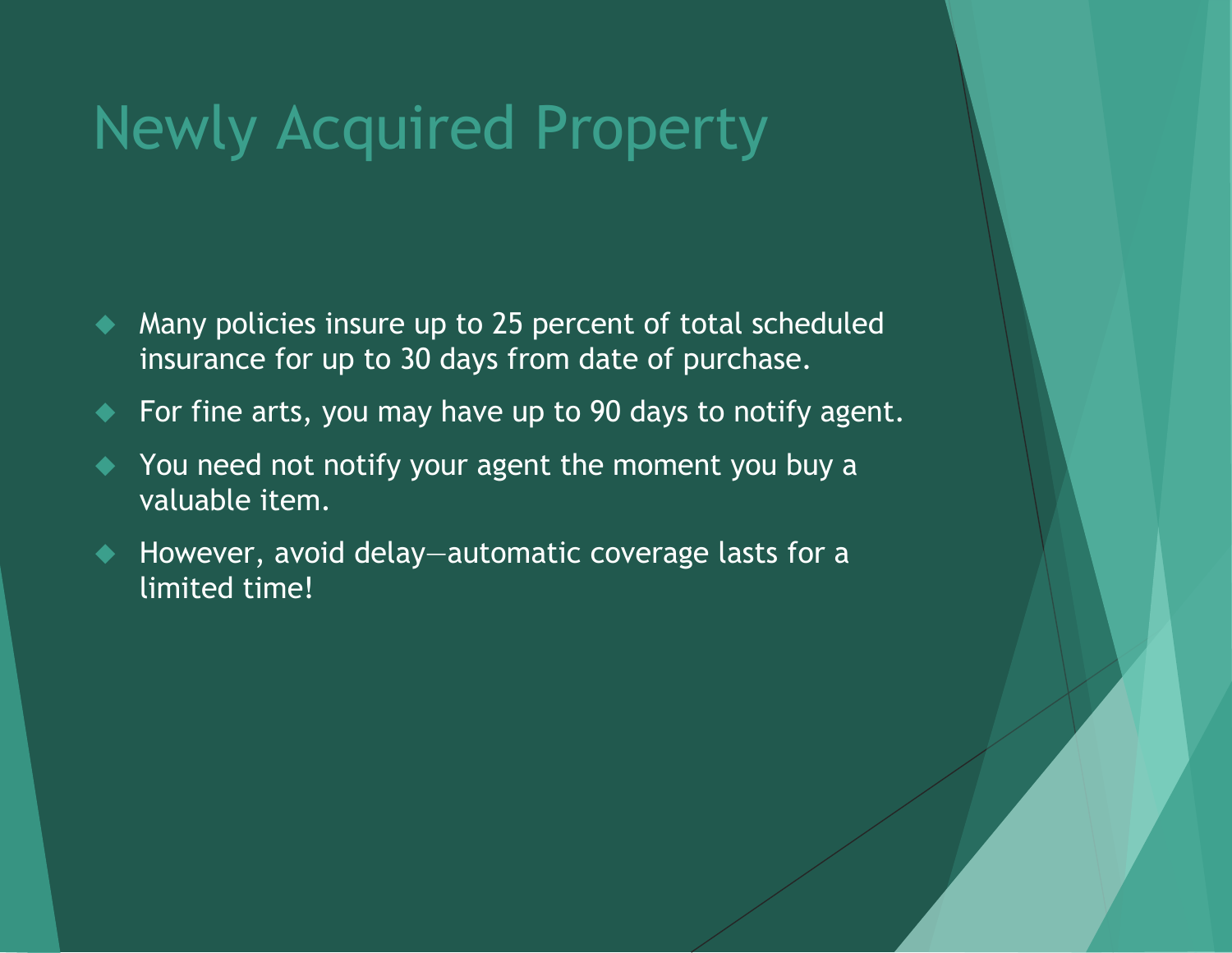## Newly Acquired Property

- A Many policies insure up to 25 percent of total scheduled insurance for up to 30 days from date of purchase.
- For fine arts, you may have up to 90 days to notify agent.
- $\blacklozenge$  You need not notify your agent the moment you buy a valuable item.
- However, avoid delay—automatic coverage lasts for a limited time!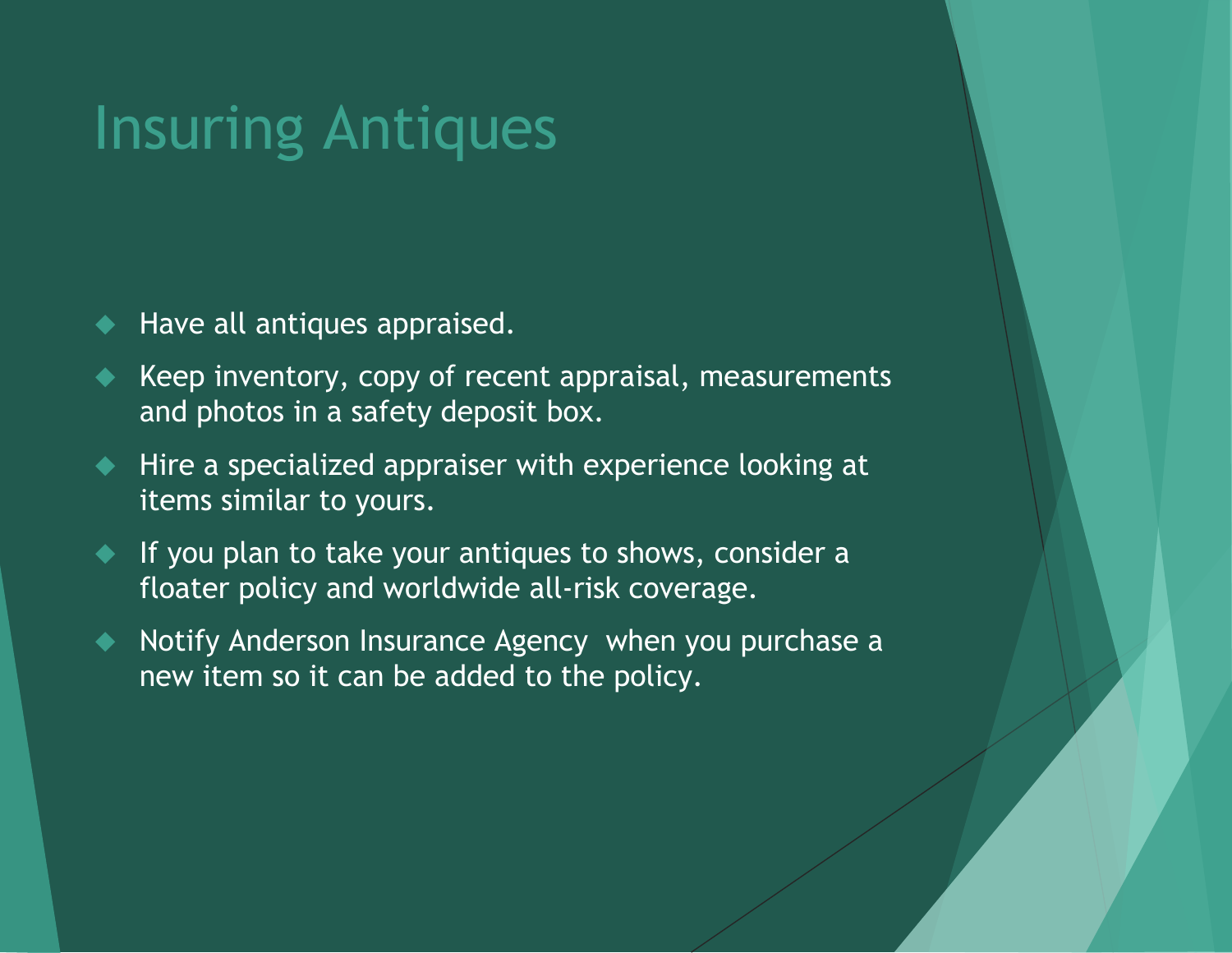#### Insuring Antiques

- Have all antiques appraised.
- Keep inventory, copy of recent appraisal, measurements and photos in a safety deposit box.
- ◆ Hire a specialized appraiser with experience looking at items similar to yours.
- If you plan to take your antiques to shows, consider a floater policy and worldwide all-risk coverage.
- $\blacklozenge$  Notify Anderson Insurance Agency when you purchase a new item so it can be added to the policy.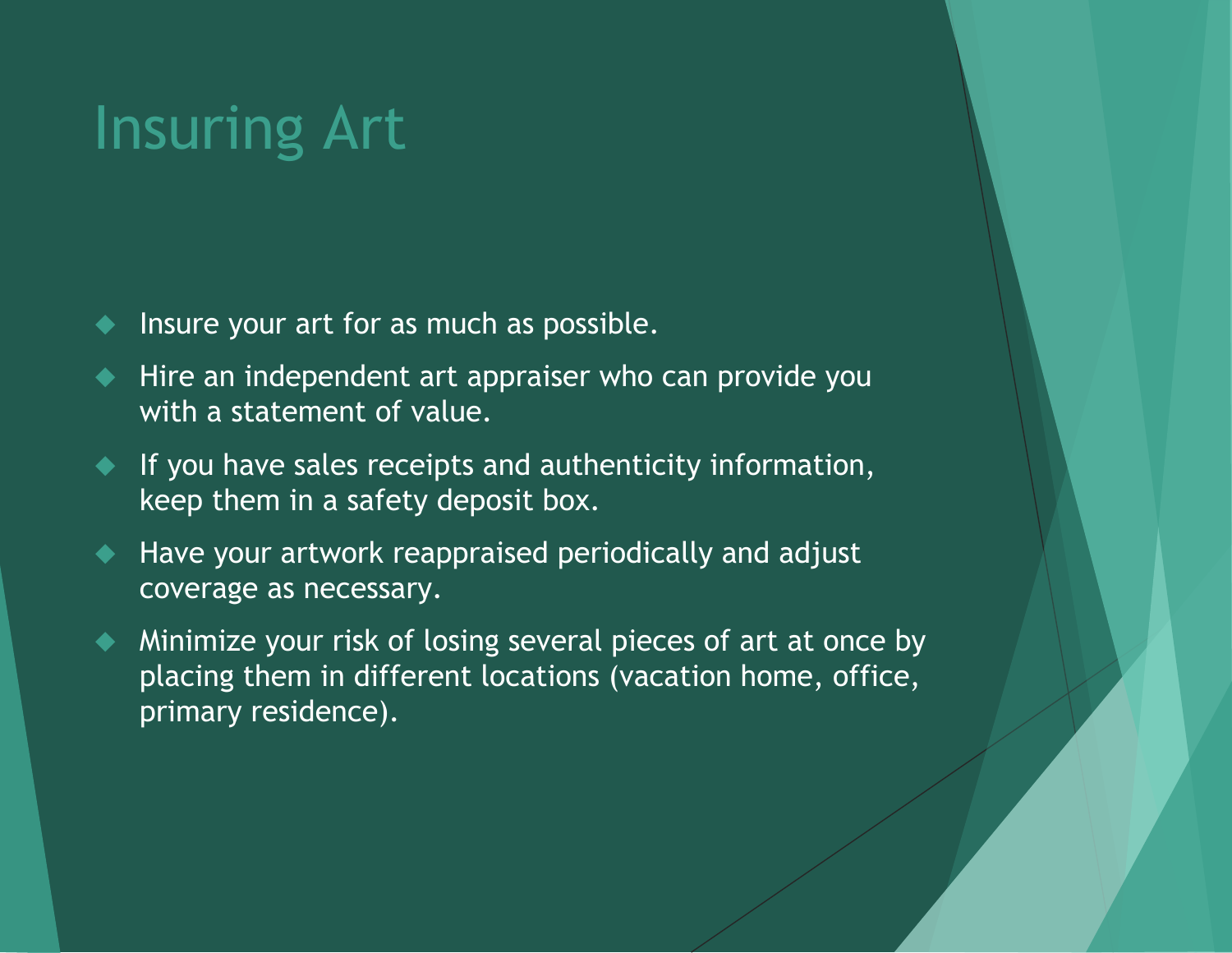## Insuring Art

- Insure your art for as much as possible.
- Hire an independent art appraiser who can provide you with a statement of value.
- **If you have sales receipts and authenticity information,** keep them in a safety deposit box.
- Have your artwork reappraised periodically and adjust coverage as necessary.
- Minimize your risk of losing several pieces of art at once by placing them in different locations (vacation home, office, primary residence).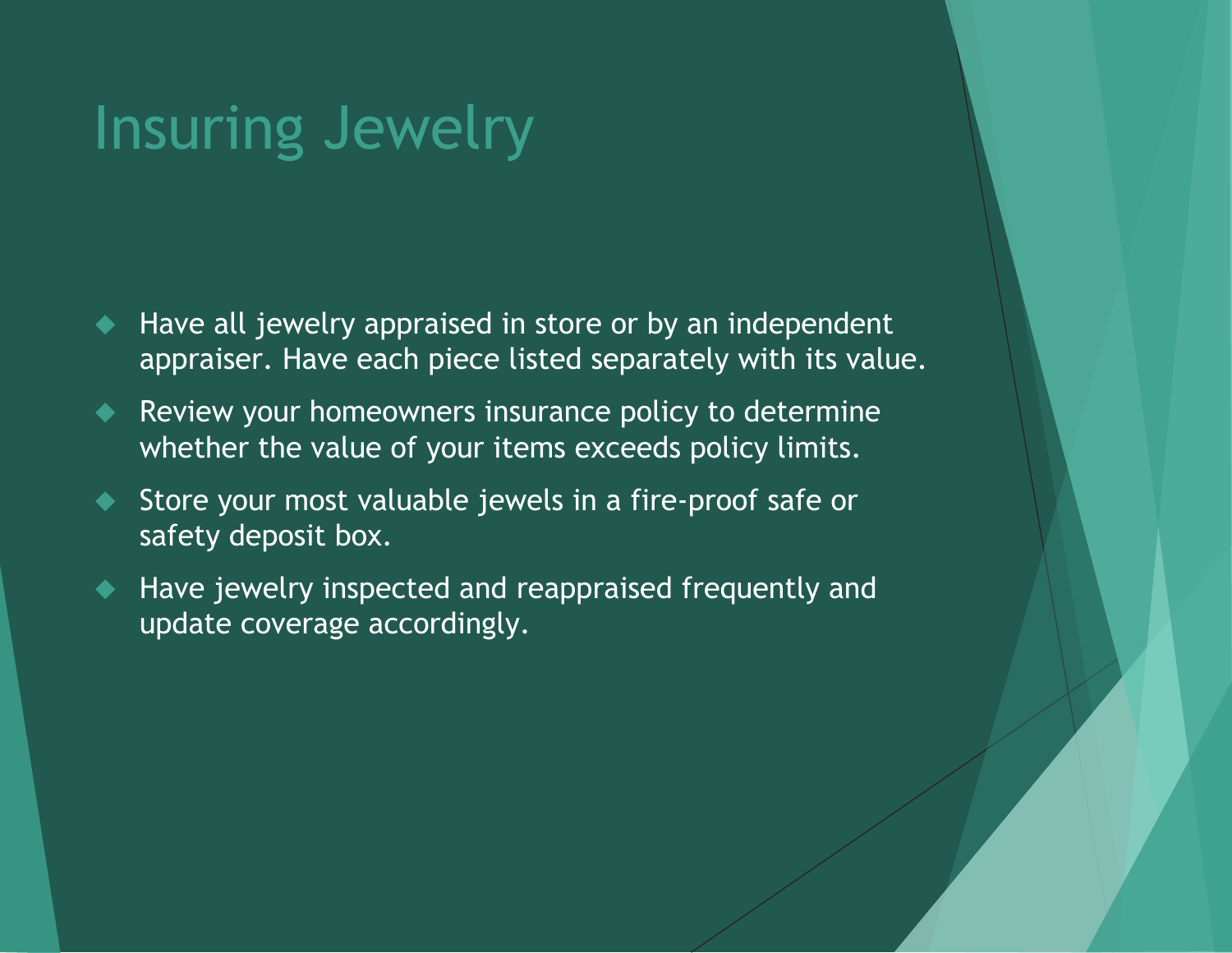#### Insuring Jewelry

- Have all jewelry appraised in store or by an independent appraiser. Have each piece listed separately with its value.
- Review your homeowners insurance policy to determine whether the value of your items exceeds policy limits.
- Store your most valuable jewels in a fire-proof safe or safety deposit box.
- Have jewelry inspected and reappraised frequently and update coverage accordingly.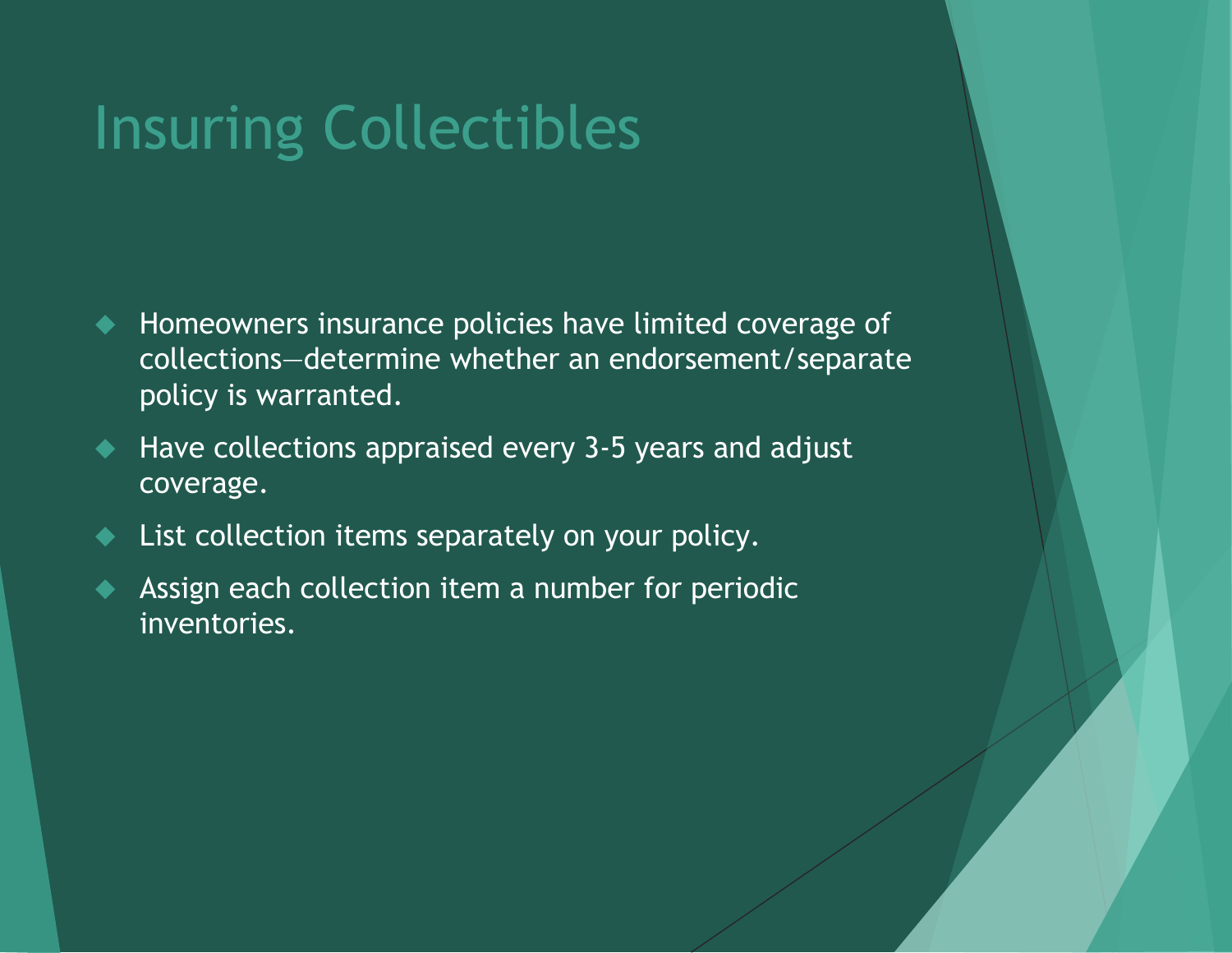## Insuring Collectibles

- $\blacklozenge$  Homeowners insurance policies have limited coverage of collections—determine whether an endorsement/separate policy is warranted.
- Have collections appraised every 3-5 years and adjust coverage.
- List collection items separately on your policy.
- Assign each collection item a number for periodic inventories.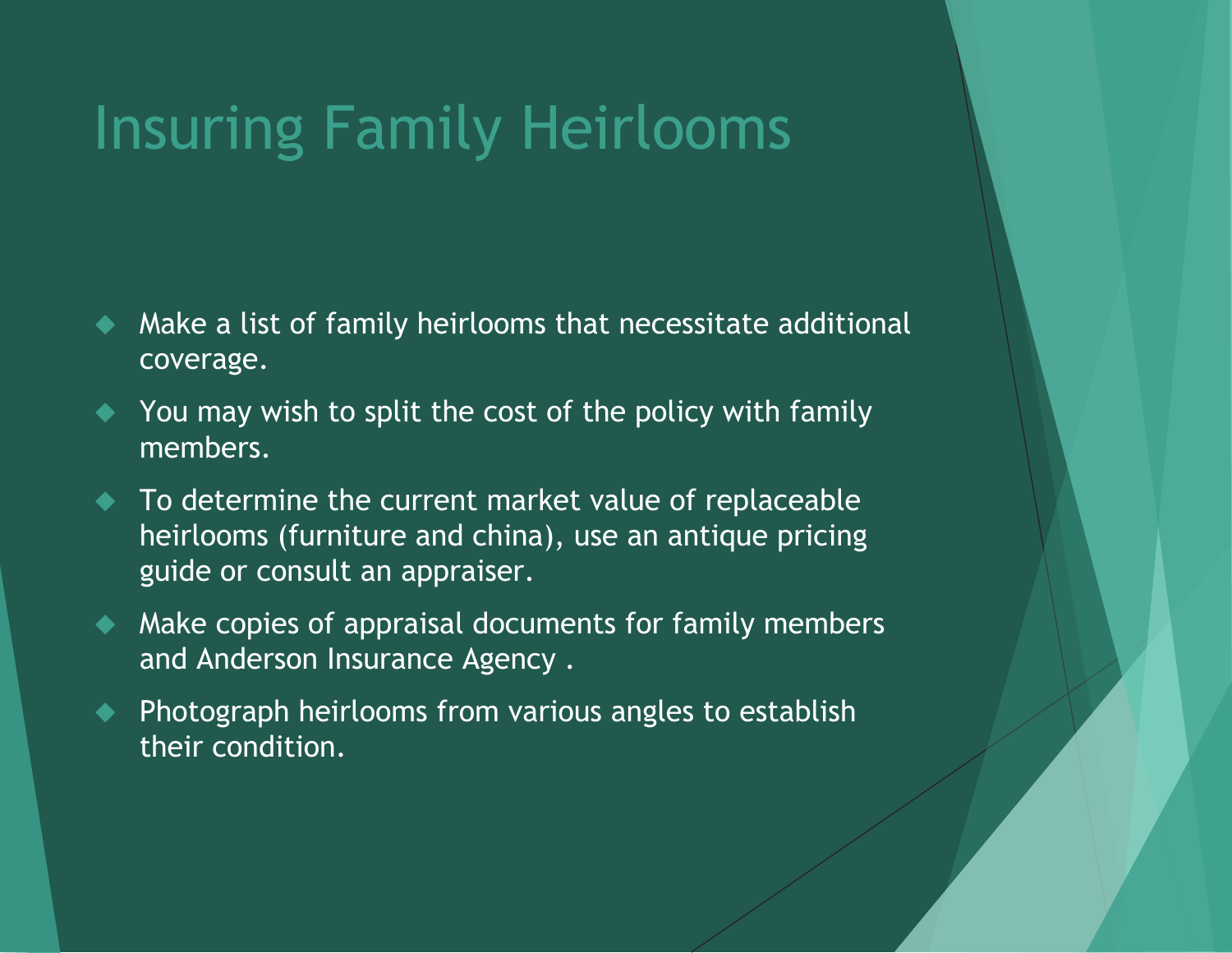## Insuring Family Heirlooms

- Make a list of family heirlooms that necessitate additional coverage.
- ◆ You may wish to split the cost of the policy with family members.
- To determine the current market value of replaceable heirlooms (furniture and china), use an antique pricing guide or consult an appraiser.
- $\blacklozenge$  Make copies of appraisal documents for family members and Anderson Insurance Agency .
- ◆ Photograph heirlooms from various angles to establish their condition.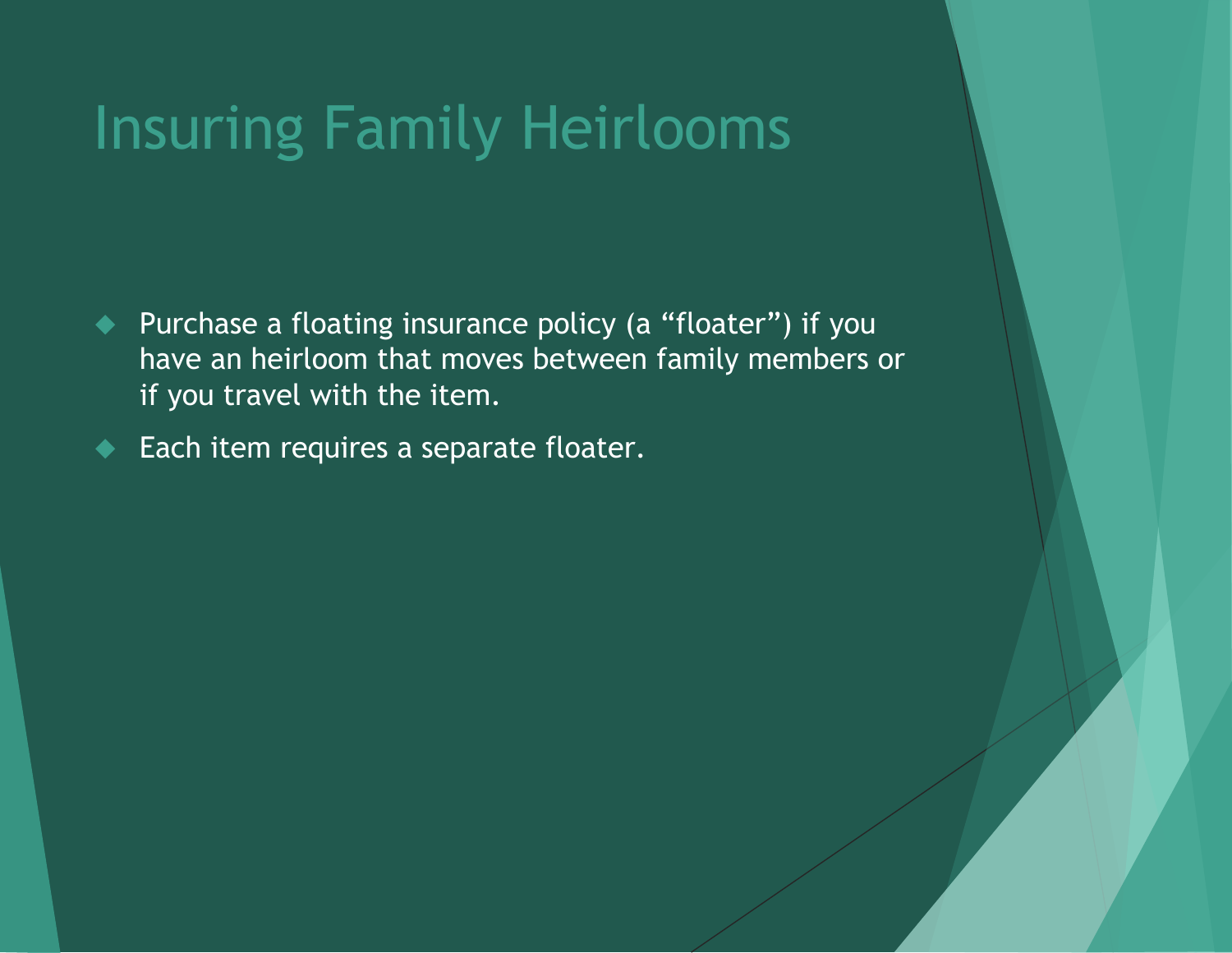## Insuring Family Heirlooms

- ◆ Purchase a floating insurance policy (a "floater") if you have an heirloom that moves between family members or if you travel with the item.
- Each item requires a separate floater.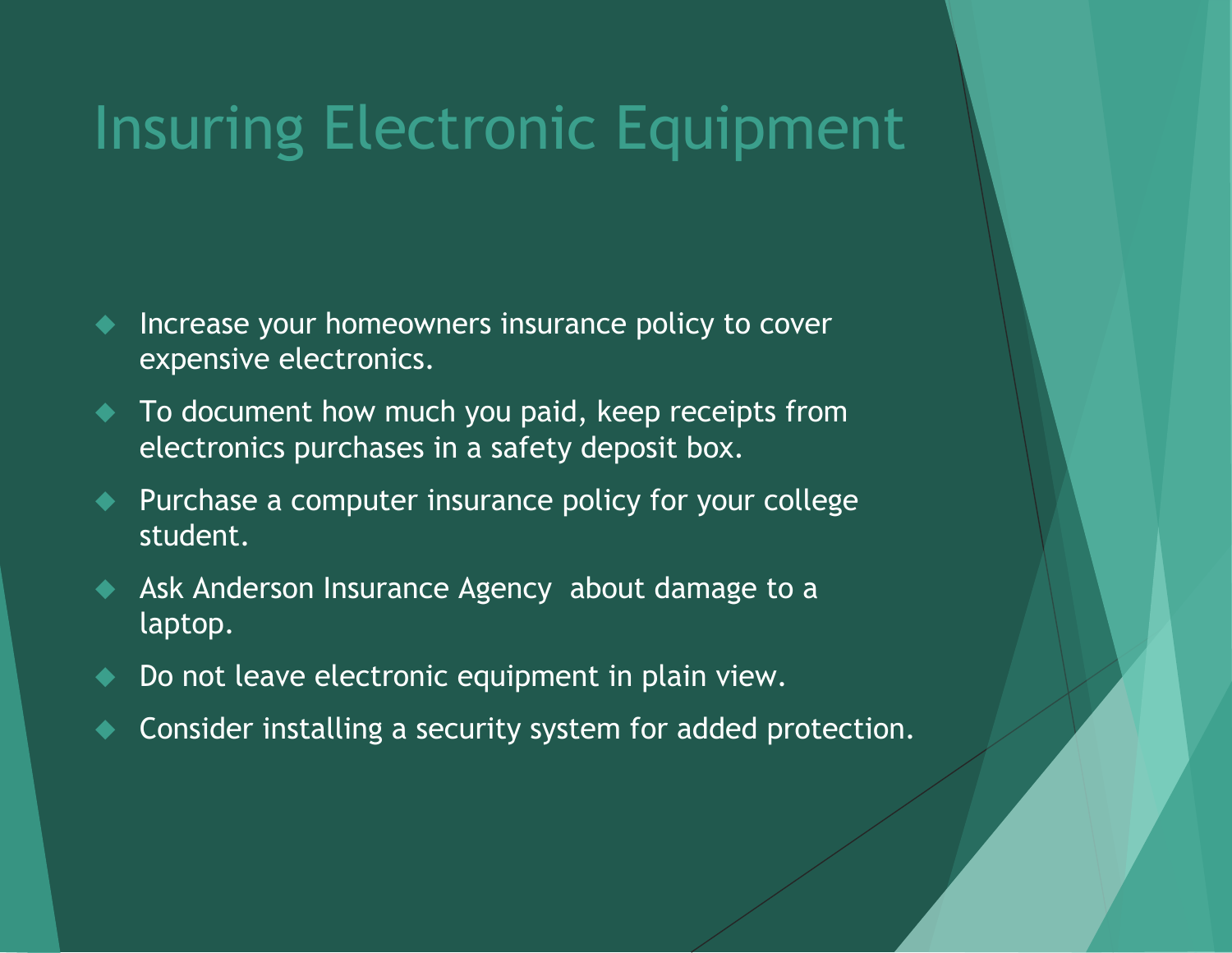## Insuring Electronic Equipment

- Increase your homeowners insurance policy to cover expensive electronics.
- $\bullet$  To document how much you paid, keep receipts from electronics purchases in a safety deposit box.
- Purchase a computer insurance policy for your college student.
- Ask Anderson Insurance Agency about damage to a laptop.
- Do not leave electronic equipment in plain view.
- Consider installing a security system for added protection.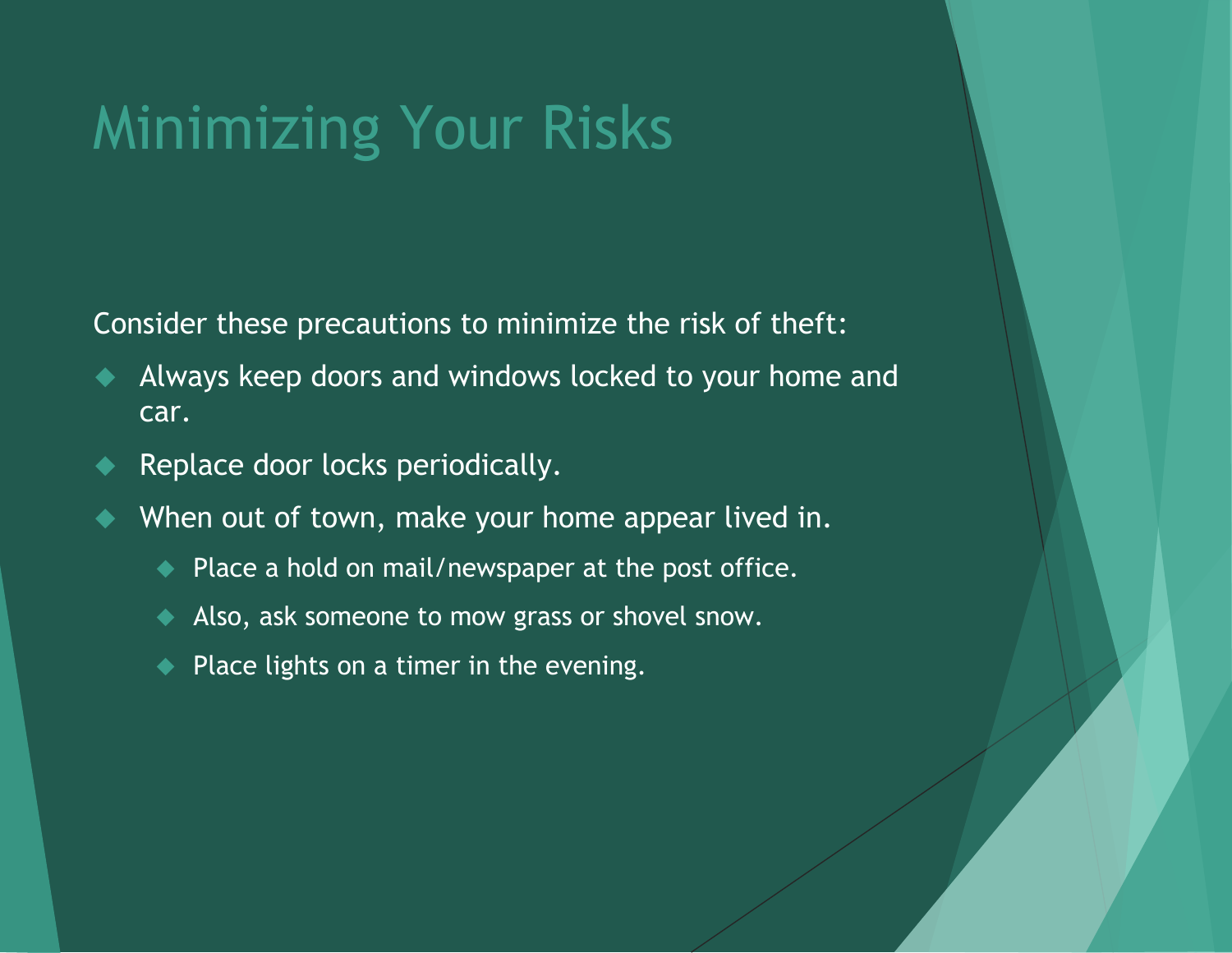## Minimizing Your Risks

Consider these precautions to minimize the risk of theft:

- Always keep doors and windows locked to your home and car.
- Replace door locks periodically.
- When out of town, make your home appear lived in.
	- ◆ Place a hold on mail/newspaper at the post office.
	- Also, ask someone to mow grass or shovel snow.
	- $\blacklozenge$  Place lights on a timer in the evening.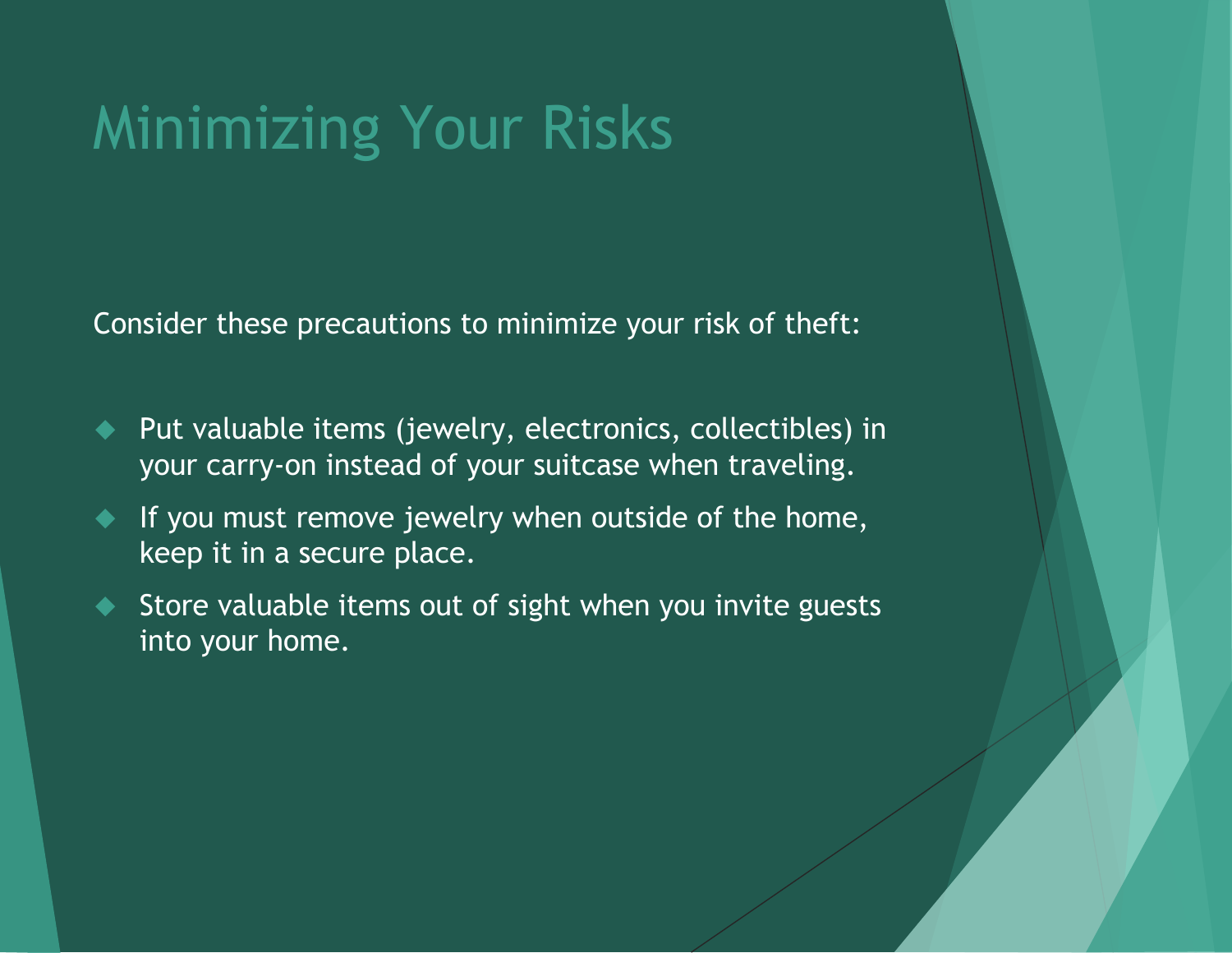## Minimizing Your Risks

Consider these precautions to minimize your risk of theft:

- Put valuable items (jewelry, electronics, collectibles) in your carry-on instead of your suitcase when traveling.
- If you must remove jewelry when outside of the home, keep it in a secure place.
- Store valuable items out of sight when you invite guests into your home.